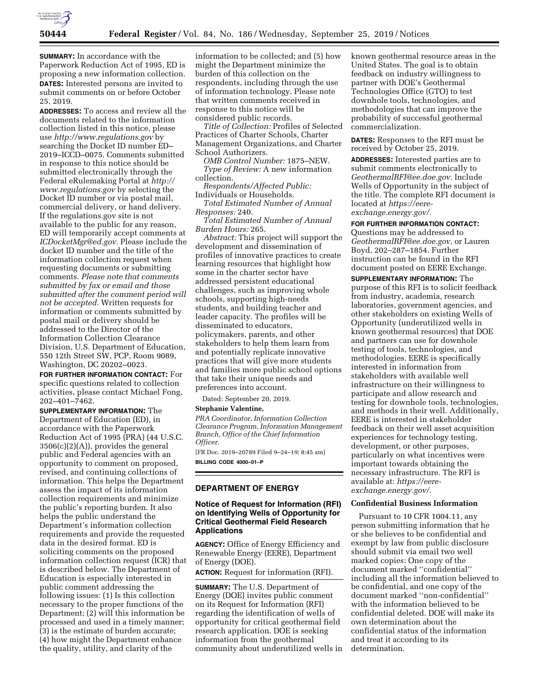

**SUMMARY:** In accordance with the Paperwork Reduction Act of 1995, ED is proposing a new information collection. **DATES:** Interested persons are invited to submit comments on or before October 25, 2019.

**ADDRESSES:** To access and review all the documents related to the information collection listed in this notice, please use *<http://www.regulations.gov>*by searching the Docket ID number ED– 2019–ICCD–0075. Comments submitted in response to this notice should be submitted electronically through the Federal eRulemaking Portal at *[http://](http://www.regulations.gov) [www.regulations.gov](http://www.regulations.gov)* by selecting the Docket ID number or via postal mail, commercial delivery, or hand delivery. If the regulations.gov site is not available to the public for any reason, ED will temporarily accept comments at *[ICDocketMgr@ed.gov.](mailto:ICDocketMgr@ed.gov)* Please include the docket ID number and the title of the information collection request when requesting documents or submitting comments. *Please note that comments submitted by fax or email and those submitted after the comment period will not be accepted.* Written requests for information or comments submitted by postal mail or delivery should be addressed to the Director of the Information Collection Clearance Division, U.S. Department of Education, 550 12th Street SW, PCP, Room 9089, Washington, DC 20202–0023.

**FOR FURTHER INFORMATION CONTACT:** For specific questions related to collection activities, please contact Michael Fong, 202–401–7462.

**SUPPLEMENTARY INFORMATION:** The Department of Education (ED), in accordance with the Paperwork Reduction Act of 1995 (PRA) (44 U.S.C.  $3506(c)(2)(A)$ , provides the general public and Federal agencies with an opportunity to comment on proposed, revised, and continuing collections of information. This helps the Department assess the impact of its information collection requirements and minimize the public's reporting burden. It also helps the public understand the Department's information collection requirements and provide the requested data in the desired format. ED is soliciting comments on the proposed information collection request (ICR) that is described below. The Department of Education is especially interested in public comment addressing the following issues: (1) Is this collection necessary to the proper functions of the Department; (2) will this information be processed and used in a timely manner; (3) is the estimate of burden accurate; (4) how might the Department enhance the quality, utility, and clarity of the

information to be collected; and (5) how might the Department minimize the burden of this collection on the respondents, including through the use of information technology. Please note that written comments received in response to this notice will be considered public records.

*Title of Collection:* Profiles of Selected Practices of Charter Schools, Charter Management Organizations, and Charter School Authorizers.

*OMB Control Number:* 1875–NEW. *Type of Review:* A new information collection.

*Respondents/Affected Public:*  Individuals or Households.

*Total Estimated Number of Annual Responses:* 240.

*Total Estimated Number of Annual Burden Hours:* 265.

*Abstract:* This project will support the development and dissemination of profiles of innovative practices to create learning resources that highlight how some in the charter sector have addressed persistent educational challenges, such as improving whole schools, supporting high-needs students, and building teacher and leader capacity. The profiles will be disseminated to educators, policymakers, parents, and other stakeholders to help them learn from and potentially replicate innovative practices that will give more students and families more public school options that take their unique needs and preferences into account.

Dated: September 20, 2019.

#### **Stephanie Valentine,**

*PRA Coordinator, Information Collection Clearance Program, Information Management Branch, Office of the Chief Information Officer.* 

[FR Doc. 2019–20789 Filed 9–24–19; 8:45 am] **BILLING CODE 4000–01–P** 

### **DEPARTMENT OF ENERGY**

### **Notice of Request for Information (RFI) on Identifying Wells of Opportunity for Critical Geothermal Field Research Applications**

**AGENCY:** Office of Energy Efficiency and Renewable Energy (EERE), Department of Energy (DOE).

**ACTION:** Request for information (RFI).

**SUMMARY:** The U.S. Department of Energy (DOE) invites public comment on its Request for Information (RFI) regarding the identification of wells of opportunity for critical geothermal field research application. DOE is seeking information from the geothermal community about underutilized wells in known geothermal resource areas in the United States. The goal is to obtain feedback on industry willingness to partner with DOE's Geothermal Technologies Office (GTO) to test downhole tools, technologies, and methodologies that can improve the probability of successful geothermal commercialization.

**DATES:** Responses to the RFI must be received by October 25, 2019.

**ADDRESSES:** Interested parties are to submit comments electronically to *[GeothermalRFI@ee.doe.gov.](mailto:GeothermalRFI@ee.doe.gov)* Include Wells of Opportunity in the subject of the title. The complete RFI document is located at *[https://eere](https://eere-exchange.energy.gov/)[exchange.energy.gov/.](https://eere-exchange.energy.gov/)* 

## **FOR FURTHER INFORMATION CONTACT:**

Questions may be addressed to *[GeothermalRFI@ee.doe.gov,](mailto:GeothermalRFI@ee.doe.gov)* or Lauren Boyd, 202–287–1854. Further instruction can be found in the RFI document posted on EERE Exchange.

**SUPPLEMENTARY INFORMATION:** The purpose of this RFI is to solicit feedback from industry, academia, research laboratories, government agencies, and other stakeholders on existing Wells of Opportunity (underutilized wells in known geothermal resources) that DOE and partners can use for downhole testing of tools, technologies, and methodologies. EERE is specifically interested in information from stakeholders with available well infrastructure on their willingness to participate and allow research and testing for downhole tools, technologies, and methods in their well. Additionally, EERE is interested in stakeholder feedback on their well asset acquisition experiences for technology testing, development, or other purposes, particularly on what incentives were important towards obtaining the necessary infrastructure. The RFI is available at: *[https://eere](https://eere-exchange.energy.gov/)[exchange.energy.gov/.](https://eere-exchange.energy.gov/)* 

#### **Confidential Business Information**

Pursuant to 10 CFR 1004.11, any person submitting information that he or she believes to be confidential and exempt by law from public disclosure should submit via email two well marked copies: One copy of the document marked ''confidential'' including all the information believed to be confidential, and one copy of the document marked ''non-confidential'' with the information believed to be confidential deleted. DOE will make its own determination about the confidential status of the information and treat it according to its determination.